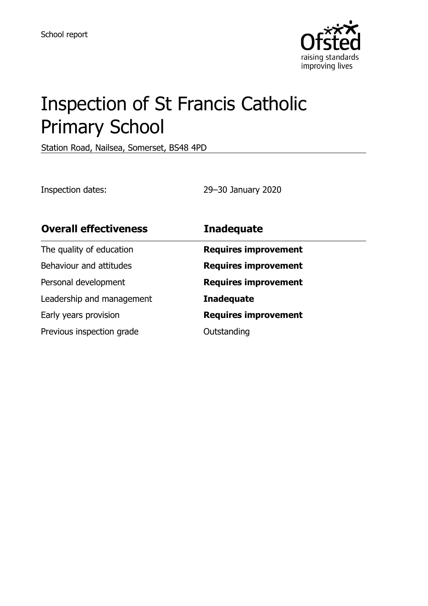

# Inspection of St Francis Catholic Primary School

Station Road, Nailsea, Somerset, BS48 4PD

Inspection dates: 29–30 January 2020

| <b>Overall effectiveness</b> | <b>Inadequate</b>           |
|------------------------------|-----------------------------|
| The quality of education     | <b>Requires improvement</b> |
| Behaviour and attitudes      | <b>Requires improvement</b> |
| Personal development         | <b>Requires improvement</b> |
| Leadership and management    | <b>Inadequate</b>           |
| Early years provision        | <b>Requires improvement</b> |
| Previous inspection grade    | Outstanding                 |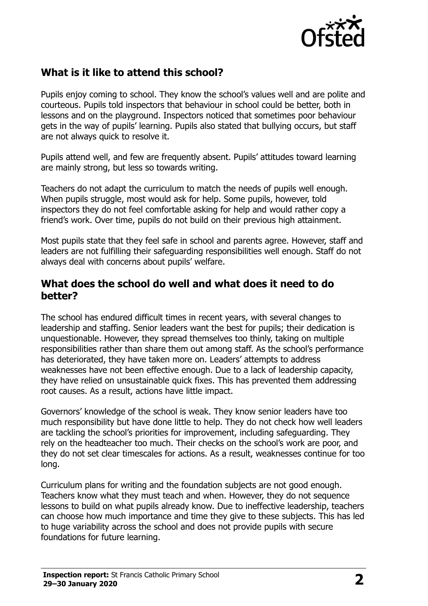

## **What is it like to attend this school?**

Pupils enjoy coming to school. They know the school's values well and are polite and courteous. Pupils told inspectors that behaviour in school could be better, both in lessons and on the playground. Inspectors noticed that sometimes poor behaviour gets in the way of pupils' learning. Pupils also stated that bullying occurs, but staff are not always quick to resolve it.

Pupils attend well, and few are frequently absent. Pupils' attitudes toward learning are mainly strong, but less so towards writing.

Teachers do not adapt the curriculum to match the needs of pupils well enough. When pupils struggle, most would ask for help. Some pupils, however, told inspectors they do not feel comfortable asking for help and would rather copy a friend's work. Over time, pupils do not build on their previous high attainment.

Most pupils state that they feel safe in school and parents agree. However, staff and leaders are not fulfilling their safeguarding responsibilities well enough. Staff do not always deal with concerns about pupils' welfare.

### **What does the school do well and what does it need to do better?**

The school has endured difficult times in recent years, with several changes to leadership and staffing. Senior leaders want the best for pupils; their dedication is unquestionable. However, they spread themselves too thinly, taking on multiple responsibilities rather than share them out among staff. As the school's performance has deteriorated, they have taken more on. Leaders' attempts to address weaknesses have not been effective enough. Due to a lack of leadership capacity, they have relied on unsustainable quick fixes. This has prevented them addressing root causes. As a result, actions have little impact.

Governors' knowledge of the school is weak. They know senior leaders have too much responsibility but have done little to help. They do not check how well leaders are tackling the school's priorities for improvement, including safeguarding. They rely on the headteacher too much. Their checks on the school's work are poor, and they do not set clear timescales for actions. As a result, weaknesses continue for too long.

Curriculum plans for writing and the foundation subjects are not good enough. Teachers know what they must teach and when. However, they do not sequence lessons to build on what pupils already know. Due to ineffective leadership, teachers can choose how much importance and time they give to these subjects. This has led to huge variability across the school and does not provide pupils with secure foundations for future learning.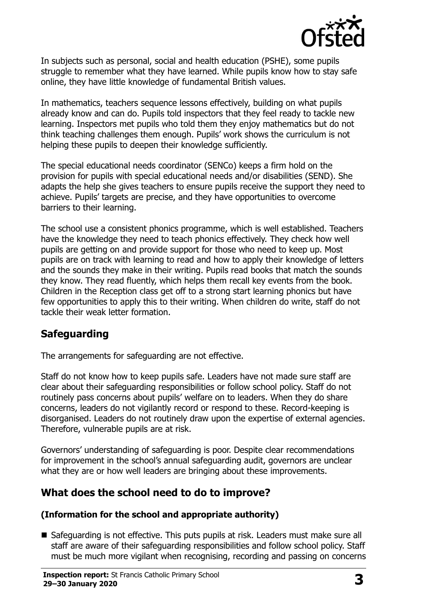

In subjects such as personal, social and health education (PSHE), some pupils struggle to remember what they have learned. While pupils know how to stay safe online, they have little knowledge of fundamental British values.

In mathematics, teachers sequence lessons effectively, building on what pupils already know and can do. Pupils told inspectors that they feel ready to tackle new learning. Inspectors met pupils who told them they enjoy mathematics but do not think teaching challenges them enough. Pupils' work shows the curriculum is not helping these pupils to deepen their knowledge sufficiently.

The special educational needs coordinator (SENCo) keeps a firm hold on the provision for pupils with special educational needs and/or disabilities (SEND). She adapts the help she gives teachers to ensure pupils receive the support they need to achieve. Pupils' targets are precise, and they have opportunities to overcome barriers to their learning.

The school use a consistent phonics programme, which is well established. Teachers have the knowledge they need to teach phonics effectively. They check how well pupils are getting on and provide support for those who need to keep up. Most pupils are on track with learning to read and how to apply their knowledge of letters and the sounds they make in their writing. Pupils read books that match the sounds they know. They read fluently, which helps them recall key events from the book. Children in the Reception class get off to a strong start learning phonics but have few opportunities to apply this to their writing. When children do write, staff do not tackle their weak letter formation.

## **Safeguarding**

The arrangements for safeguarding are not effective.

Staff do not know how to keep pupils safe. Leaders have not made sure staff are clear about their safeguarding responsibilities or follow school policy. Staff do not routinely pass concerns about pupils' welfare on to leaders. When they do share concerns, leaders do not vigilantly record or respond to these. Record-keeping is disorganised. Leaders do not routinely draw upon the expertise of external agencies. Therefore, vulnerable pupils are at risk.

Governors' understanding of safeguarding is poor. Despite clear recommendations for improvement in the school's annual safeguarding audit, governors are unclear what they are or how well leaders are bringing about these improvements.

# **What does the school need to do to improve?**

#### **(Information for the school and appropriate authority)**

■ Safeguarding is not effective. This puts pupils at risk. Leaders must make sure all staff are aware of their safeguarding responsibilities and follow school policy. Staff must be much more vigilant when recognising, recording and passing on concerns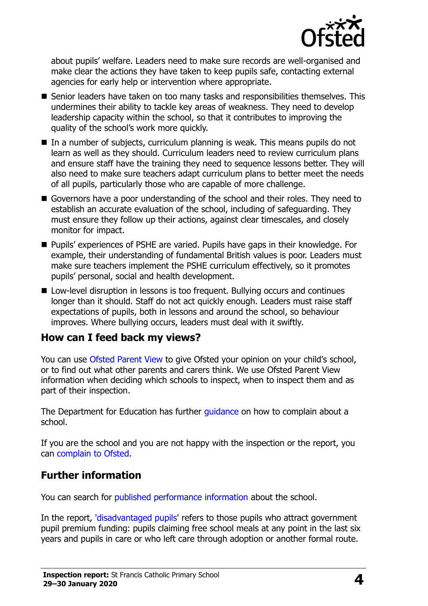

about pupils' welfare. Leaders need to make sure records are well-organised and make clear the actions they have taken to keep pupils safe, contacting external agencies for early help or intervention where appropriate.

- Senior leaders have taken on too many tasks and responsibilities themselves. This undermines their ability to tackle key areas of weakness. They need to develop leadership capacity within the school, so that it contributes to improving the quality of the school's work more quickly.
- $\blacksquare$  In a number of subjects, curriculum planning is weak. This means pupils do not learn as well as they should. Curriculum leaders need to review curriculum plans and ensure staff have the training they need to sequence lessons better. They will also need to make sure teachers adapt curriculum plans to better meet the needs of all pupils, particularly those who are capable of more challenge.
- Governors have a poor understanding of the school and their roles. They need to establish an accurate evaluation of the school, including of safeguarding. They must ensure they follow up their actions, against clear timescales, and closely monitor for impact.
- Pupils' experiences of PSHE are varied. Pupils have gaps in their knowledge. For example, their understanding of fundamental British values is poor. Leaders must make sure teachers implement the PSHE curriculum effectively, so it promotes pupils' personal, social and health development.
- Low-level disruption in lessons is too frequent. Bullying occurs and continues longer than it should. Staff do not act quickly enough. Leaders must raise staff expectations of pupils, both in lessons and around the school, so behaviour improves. Where bullying occurs, leaders must deal with it swiftly.

## **How can I feed back my views?**

You can use [Ofsted Parent View](http://parentview.ofsted.gov.uk/) to give Ofsted your opinion on your child's school, or to find out what other parents and carers think. We use Ofsted Parent View information when deciding which schools to inspect, when to inspect them and as part of their inspection.

The Department for Education has further quidance on how to complain about a school.

If you are the school and you are not happy with the inspection or the report, you can [complain to Ofsted.](http://www.gov.uk/complain-ofsted-report)

## **Further information**

You can search for [published performance information](http://www.compare-school-performance.service.gov.uk/) about the school.

In the report, ['disadvantaged pupils'](http://www.gov.uk/guidance/pupil-premium-information-for-schools-and-alternative-provision-settings) refers to those pupils who attract government pupil premium funding: pupils claiming free school meals at any point in the last six years and pupils in care or who left care through adoption or another formal route.

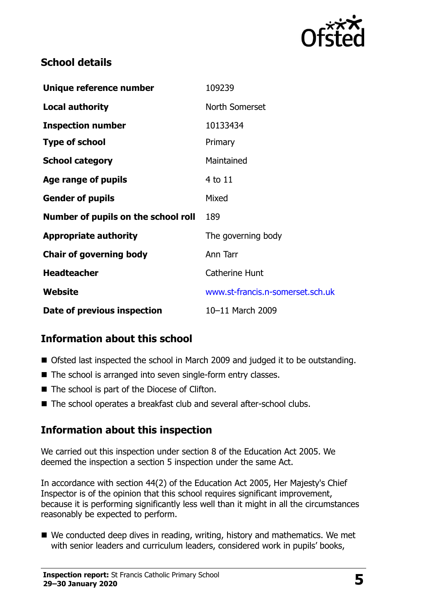

# **School details**

| Unique reference number             | 109239                           |
|-------------------------------------|----------------------------------|
| <b>Local authority</b>              | North Somerset                   |
| <b>Inspection number</b>            | 10133434                         |
| <b>Type of school</b>               | Primary                          |
| <b>School category</b>              | Maintained                       |
| Age range of pupils                 | 4 to 11                          |
| <b>Gender of pupils</b>             | Mixed                            |
| Number of pupils on the school roll | 189                              |
| <b>Appropriate authority</b>        | The governing body               |
| <b>Chair of governing body</b>      | Ann Tarr                         |
| <b>Headteacher</b>                  | <b>Catherine Hunt</b>            |
| Website                             | www.st-francis.n-somerset.sch.uk |
| Date of previous inspection         | 10-11 March 2009                 |

# **Information about this school**

- Ofsted last inspected the school in March 2009 and judged it to be outstanding.
- The school is arranged into seven single-form entry classes.
- The school is part of the Diocese of Clifton.
- The school operates a breakfast club and several after-school clubs.

# **Information about this inspection**

We carried out this inspection under section 8 of the Education Act 2005. We deemed the inspection a section 5 inspection under the same Act.

In accordance with section 44(2) of the Education Act 2005, Her Majesty's Chief Inspector is of the opinion that this school requires significant improvement, because it is performing significantly less well than it might in all the circumstances reasonably be expected to perform.

■ We conducted deep dives in reading, writing, history and mathematics. We met with senior leaders and curriculum leaders, considered work in pupils' books,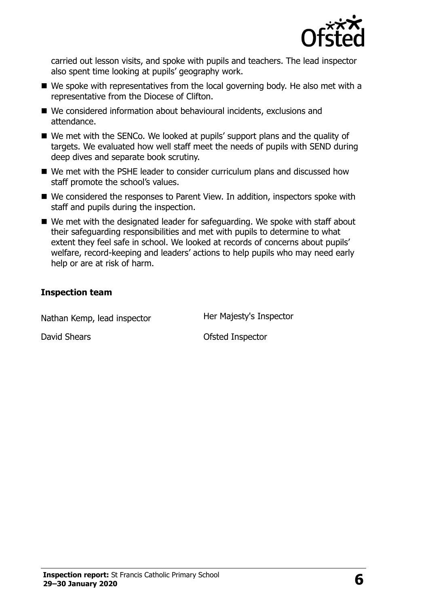

carried out lesson visits, and spoke with pupils and teachers. The lead inspector also spent time looking at pupils' geography work.

- We spoke with representatives from the local governing body. He also met with a representative from the Diocese of Clifton.
- We considered information about behavioural incidents, exclusions and attendance.
- We met with the SENCo. We looked at pupils' support plans and the quality of targets. We evaluated how well staff meet the needs of pupils with SEND during deep dives and separate book scrutiny.
- We met with the PSHE leader to consider curriculum plans and discussed how staff promote the school's values.
- We considered the responses to Parent View. In addition, inspectors spoke with staff and pupils during the inspection.
- We met with the designated leader for safeguarding. We spoke with staff about their safeguarding responsibilities and met with pupils to determine to what extent they feel safe in school. We looked at records of concerns about pupils' welfare, record-keeping and leaders' actions to help pupils who may need early help or are at risk of harm.

#### **Inspection team**

Nathan Kemp, lead inspector **Her Majesty's Inspector** 

David Shears **David Shears Ofsted Inspector**